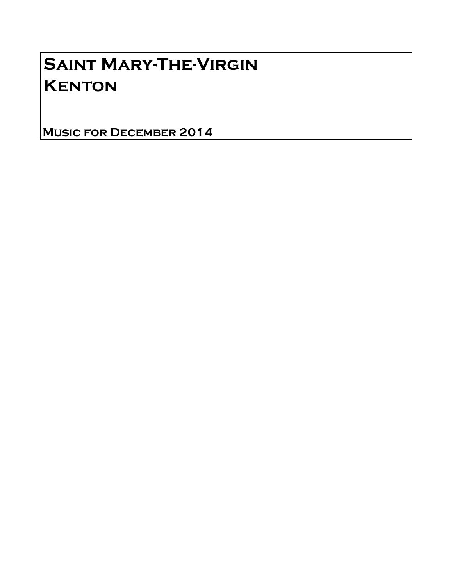## Saint Mary-The-Virgin **KENTON**

Music for December 2014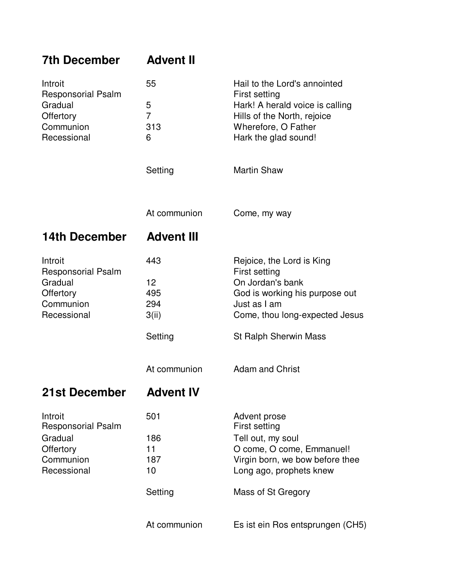| <b>7th December</b>                                          | <b>Advent II</b>  |                                                  |
|--------------------------------------------------------------|-------------------|--------------------------------------------------|
| Introit<br><b>Responsorial Psalm</b><br>Gradual<br>Offertory | 55                | Hail to the Lord's annointed                     |
|                                                              | 5                 | First setting<br>Hark! A herald voice is calling |
|                                                              | $\overline{7}$    | Hills of the North, rejoice                      |
| Communion                                                    | 313               | Wherefore, O Father                              |
| Recessional                                                  | 6                 | Hark the glad sound!                             |
|                                                              | Setting           | <b>Martin Shaw</b>                               |
|                                                              | At communion      | Come, my way                                     |
| <b>14th December</b>                                         | <b>Advent III</b> |                                                  |
| Introit                                                      | 443               | Rejoice, the Lord is King                        |
| Responsorial Psalm<br>Gradual                                | 12 <sup>2</sup>   | First setting<br>On Jordan's bank                |
| Offertory                                                    | 495               | God is working his purpose out                   |
| Communion                                                    | 294               | Just as I am                                     |
| Recessional                                                  | 3(ii)             | Come, thou long-expected Jesus                   |
|                                                              | Setting           | <b>St Ralph Sherwin Mass</b>                     |
|                                                              | At communion      | <b>Adam and Christ</b>                           |
| 21st December                                                | <b>Advent IV</b>  |                                                  |
| Introit<br><b>Responsorial Psalm</b>                         | 501               | Advent prose<br>First setting                    |
| Gradual                                                      | 186               | Tell out, my soul                                |
| Offertory                                                    | 11                | O come, O come, Emmanuel!                        |
| Communion                                                    | 187               | Virgin born, we bow before thee                  |
| Recessional                                                  | 10                | Long ago, prophets knew                          |
|                                                              | Setting           | Mass of St Gregory                               |
|                                                              | At communion      | Es ist ein Ros entsprungen (CH5)                 |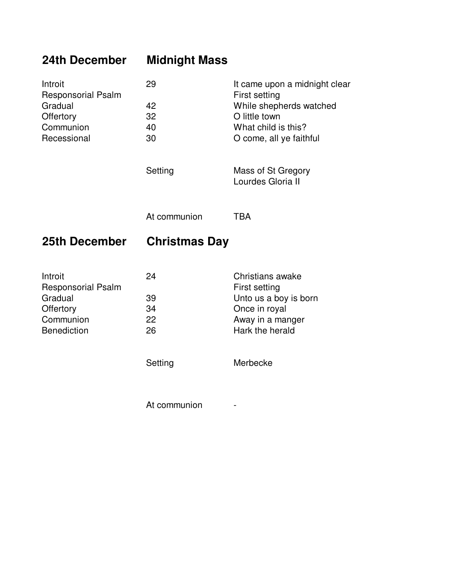## **24th December Midnight Mass**

| Introit<br><b>Responsorial Psalm</b><br>Gradual<br>Offertory<br>Communion<br>Recessional        | 29<br>42<br>32<br>40<br>30<br>Setting | It came upon a midnight clear<br>First setting<br>While shepherds watched<br>O little town<br>What child is this?<br>O come, all ye faithful<br>Mass of St Gregory<br>Lourdes Gloria II |
|-------------------------------------------------------------------------------------------------|---------------------------------------|-----------------------------------------------------------------------------------------------------------------------------------------------------------------------------------------|
|                                                                                                 | At communion                          | <b>TBA</b>                                                                                                                                                                              |
| 25th December                                                                                   | <b>Christmas Day</b>                  |                                                                                                                                                                                         |
| Introit<br><b>Responsorial Psalm</b><br>Gradual<br>Offertory<br>Communion<br><b>Benediction</b> | 24<br>39<br>34<br>22<br>26<br>Setting | Christians awake<br>First setting<br>Unto us a boy is born<br>Once in royal<br>Away in a manger<br>Hark the herald<br>Merbecke                                                          |
|                                                                                                 | At communion                          |                                                                                                                                                                                         |